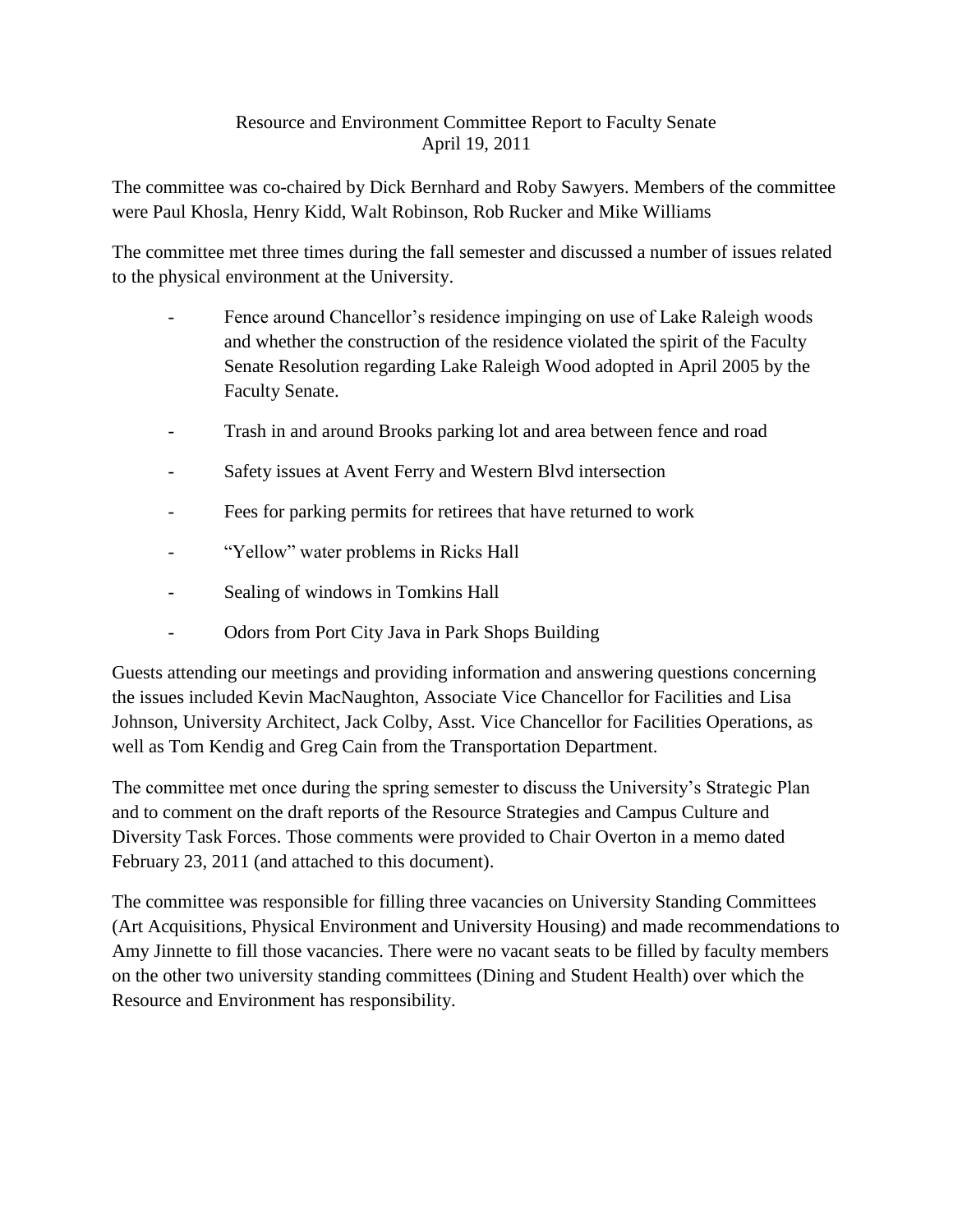## Resource and Environment Committee Report to Faculty Senate April 19, 2011

The committee was co-chaired by Dick Bernhard and Roby Sawyers. Members of the committee were Paul Khosla, Henry Kidd, Walt Robinson, Rob Rucker and Mike Williams

The committee met three times during the fall semester and discussed a number of issues related to the physical environment at the University.

- Fence around Chancellor's residence impinging on use of Lake Raleigh woods and whether the construction of the residence violated the spirit of the Faculty Senate Resolution regarding Lake Raleigh Wood adopted in April 2005 by the Faculty Senate.
- Trash in and around Brooks parking lot and area between fence and road
- Safety issues at Avent Ferry and Western Blvd intersection
- Fees for parking permits for retirees that have returned to work
- "Yellow" water problems in Ricks Hall
- Sealing of windows in Tomkins Hall
- Odors from Port City Java in Park Shops Building

Guests attending our meetings and providing information and answering questions concerning the issues included Kevin MacNaughton, Associate Vice Chancellor for Facilities and Lisa Johnson, University Architect, Jack Colby, Asst. Vice Chancellor for Facilities Operations, as well as Tom Kendig and Greg Cain from the Transportation Department.

The committee met once during the spring semester to discuss the University's Strategic Plan and to comment on the draft reports of the Resource Strategies and Campus Culture and Diversity Task Forces. Those comments were provided to Chair Overton in a memo dated February 23, 2011 (and attached to this document).

The committee was responsible for filling three vacancies on University Standing Committees (Art Acquisitions, Physical Environment and University Housing) and made recommendations to Amy Jinnette to fill those vacancies. There were no vacant seats to be filled by faculty members on the other two university standing committees (Dining and Student Health) over which the Resource and Environment has responsibility.